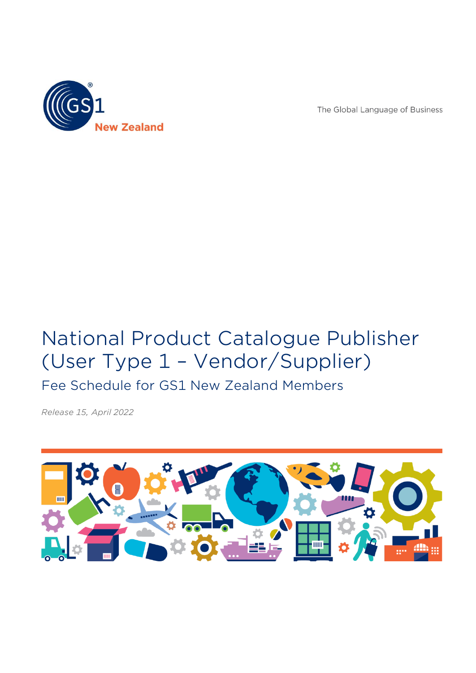

The Global Language of Business

# National Product Catalogue Publisher (User Type 1 – Vendor/Supplier)

Fee Schedule for GS1 New Zealand Members

*Release 15, April 2022*

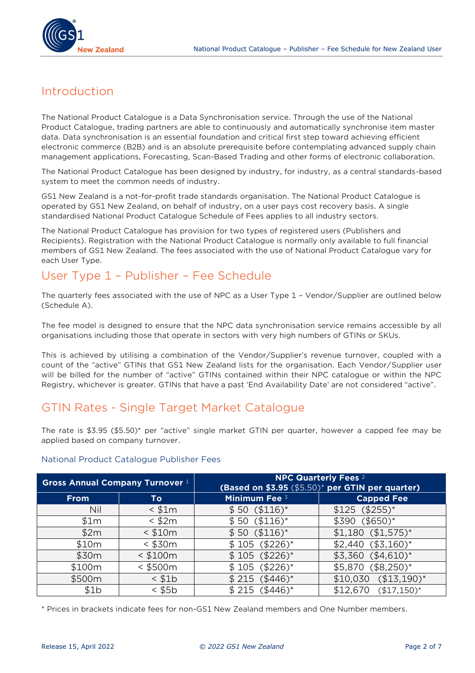

## Introduction

The National Product Catalogue is a Data Synchronisation service. Through the use of the National Product Catalogue, trading partners are able to continuously and automatically synchronise item master data. Data synchronisation is an essential foundation and critical first step toward achieving efficient electronic commerce (B2B) and is an absolute prerequisite before contemplating advanced supply chain management applications, Forecasting, Scan-Based Trading and other forms of electronic collaboration.

The National Product Catalogue has been designed by industry, for industry, as a central standards-based system to meet the common needs of industry.

GS1 New Zealand is a not-for-profit trade standards organisation. The National Product Catalogue is operated by GS1 New Zealand, on behalf of industry, on a user pays cost recovery basis. A single standardised National Product Catalogue Schedule of Fees applies to all industry sectors.

The National Product Catalogue has provision for two types of registered users (Publishers and Recipients). Registration with the National Product Catalogue is normally only available to full financial members of GS1 New Zealand. The fees associated with the use of National Product Catalogue vary for each User Type.

# User Type 1 – Publisher – Fee Schedule

The quarterly fees associated with the use of NPC as a User Type 1 – Vendor/Supplier are outlined below (Schedule A).

The fee model is designed to ensure that the NPC data synchronisation service remains accessible by all organisations including those that operate in sectors with very high numbers of GTINs or SKUs.

This is achieved by utilising a combination of the Vendor/Supplier's revenue turnover, coupled with a count of the "active" GTINs that GS1 New Zealand lists for the organisation. Each Vendor/Supplier user will be billed for the number of "active" GTINs contained within their NPC catalogue or within the NPC Registry, whichever is greater. GTINs that have a past 'End Availability Date' are not considered "active".

# GTIN Rates - Single Target Market Catalogue

The rate is \$3.95 (\$5.50)\* per "active" single market GTIN per quarter, however a capped fee may be applied based on company turnover.

#### National Product Catalogue Publisher Fees

| Gross Annual Company Turnover 1 |             | <b>NPC Quarterly Fees</b> 2<br>(Based on \$3.95 (\$5.50) <sup>*</sup> per GTIN per quarter) |                          |  |  |
|---------------------------------|-------------|---------------------------------------------------------------------------------------------|--------------------------|--|--|
| <b>From</b>                     | To          | <b>Minimum Fee 3</b>                                                                        | <b>Capped Fee</b>        |  |  |
| Nil                             | $<$ \$1 $m$ | $$50 ($116)*$                                                                               | $$125 ($255)*$           |  |  |
| \$1m                            | $<$ \$2 $m$ | $$50 ($116)*$                                                                               | $$390 ($650)*$           |  |  |
| \$2m                            | $<$ \$10m   | $$50 ($116)*$                                                                               | $$1,180$ $($1,575)^*$    |  |  |
| \$10m                           | $<$ \$30m   | $$105 ($226)*$                                                                              | $$2,440$ $($3,160)^*$    |  |  |
| \$30m                           | $<$ \$100m  | $$105 ($226)*$                                                                              | $$3,360$ $($4,610)^*$    |  |  |
| \$100m                          | $<$ \$500m  | $$105 ($226)*$                                                                              | $$5,870$ (\$8,250)*      |  |  |
| \$500m                          | $<$ \$1 $b$ | $$215 ($446)*$                                                                              | $($13,190)*$<br>\$10,030 |  |  |
| \$1b                            | $<$ \$5 $b$ | $$215 ($446)*$                                                                              | \$12,670<br>$($17,150)*$ |  |  |

\* Prices in brackets indicate fees for non-GS1 New Zealand members and One Number members.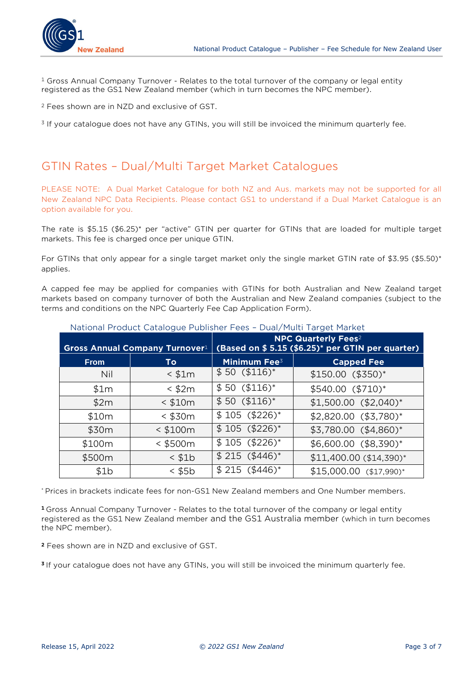

 $1$  Gross Annual Company Turnover - Relates to the total turnover of the company or legal entity registered as the GS1 New Zealand member (which in turn becomes the NPC member).

<sup>2</sup> Fees shown are in NZD and exclusive of GST.

<sup>3</sup> If your catalogue does not have any GTINs, you will still be invoiced the minimum quarterly fee.

### GTIN Rates – Dual/Multi Target Market Catalogues

PLEASE NOTE: A Dual Market Catalogue for both NZ and Aus. markets may not be supported for all New Zealand NPC Data Recipients. Please contact GS1 to understand if a Dual Market Catalogue is an option available for you.

The rate is \$5.15 (\$6.25)\* per "active" GTIN per quarter for GTINs that are loaded for multiple target markets. This fee is charged once per unique GTIN.

For GTINs that only appear for a single target market only the single market GTIN rate of \$3.95 (\$5.50)\* applies.

A capped fee may be applied for companies with GTINs for both Australian and New Zealand target markets based on company turnover of both the Australian and New Zealand companies (subject to the terms and conditions on the NPC Quarterly Fee Cap Application Form).

| <b>Gross Annual Company Turnover1</b> |               | $=$ $\frac{1}{2}$ $\frac{1}{2}$ $\frac{1}{2}$ $\frac{1}{2}$ $\frac{1}{2}$ $\frac{1}{2}$ $\frac{1}{2}$ $\frac{1}{2}$ $\frac{1}{2}$ $\frac{1}{2}$ $\frac{1}{2}$ $\frac{1}{2}$ $\frac{1}{2}$ $\frac{1}{2}$ $\frac{1}{2}$ $\frac{1}{2}$ $\frac{1}{2}$ $\frac{1}{2}$ $\frac{1}{2}$ $\frac{1}{2}$ $\frac{1}{2}$ $\frac{1}{2$<br><b>NPC Quarterly Fees</b> <sup>2</sup><br>(Based on \$5.15 (\$6.25)* per GTIN per quarter) |                          |  |
|---------------------------------------|---------------|----------------------------------------------------------------------------------------------------------------------------------------------------------------------------------------------------------------------------------------------------------------------------------------------------------------------------------------------------------------------------------------------------------------------|--------------------------|--|
| <b>From</b>                           | To            | <b>Minimum Fee</b> <sup>3</sup>                                                                                                                                                                                                                                                                                                                                                                                      | <b>Capped Fee</b>        |  |
| Nil                                   | $<$ \$1 $m$   | $$50 ($116)*$                                                                                                                                                                                                                                                                                                                                                                                                        | $$150.00$ (\$350)*       |  |
| \$1m                                  | $<$ \$2 $m$   | $$50 ($116)*$                                                                                                                                                                                                                                                                                                                                                                                                        | $$540.00 ($710)*$        |  |
| \$2m                                  | $<$ \$10m     | $$50 ($116)*$                                                                                                                                                                                                                                                                                                                                                                                                        | $$1,500.00$ $($2,040)*$  |  |
| \$10m                                 | $<$ \$30 $m$  | $$105 ($226)*$                                                                                                                                                                                                                                                                                                                                                                                                       | $$2,820.00$ $($3,780)^*$ |  |
| \$30m                                 | $<$ \$100m    | $$105 ($226)*$                                                                                                                                                                                                                                                                                                                                                                                                       | \$3,780.00 (\$4,860)*    |  |
| \$100m                                | $<$ \$500 $m$ | $$105 ($226)*$                                                                                                                                                                                                                                                                                                                                                                                                       | \$6,600.00 (\$8,390)*    |  |
| \$500m                                | $<$ \$1 $b$   | $$215 ($446)*$                                                                                                                                                                                                                                                                                                                                                                                                       | \$11,400.00 (\$14,390)*  |  |
| \$1b                                  | $<$ \$5 $b$   | $$215 ($446)*$                                                                                                                                                                                                                                                                                                                                                                                                       | $$15,000.00$ (\$17,990)* |  |

#### National Product Catalogue Publisher Fees – Dual/Multi Target Market

\* Prices in brackets indicate fees for non-GS1 New Zealand members and One Number members.

**<sup>1</sup>**Gross Annual Company Turnover - Relates to the total turnover of the company or legal entity registered as the GS1 New Zealand member and the GS1 Australia member (which in turn becomes the NPC member).

**<sup>2</sup>** Fees shown are in NZD and exclusive of GST.

**<sup>3</sup>** If your catalogue does not have any GTINs, you will still be invoiced the minimum quarterly fee.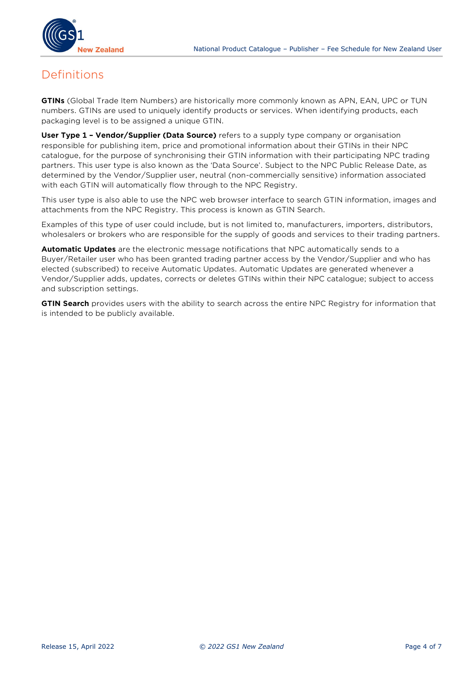

### Definitions

**GTINs** (Global Trade Item Numbers) are historically more commonly known as APN, EAN, UPC or TUN numbers. GTINs are used to uniquely identify products or services. When identifying products, each packaging level is to be assigned a unique GTIN.

**User Type 1 – Vendor/Supplier (Data Source)** refers to a supply type company or organisation responsible for publishing item, price and promotional information about their GTINs in their NPC catalogue, for the purpose of synchronising their GTIN information with their participating NPC trading partners. This user type is also known as the 'Data Source'. Subject to the NPC Public Release Date, as determined by the Vendor/Supplier user, neutral (non-commercially sensitive) information associated with each GTIN will automatically flow through to the NPC Registry.

This user type is also able to use the NPC web browser interface to search GTIN information, images and attachments from the NPC Registry. This process is known as GTIN Search.

Examples of this type of user could include, but is not limited to, manufacturers, importers, distributors, wholesalers or brokers who are responsible for the supply of goods and services to their trading partners.

**Automatic Updates** are the electronic message notifications that NPC automatically sends to a Buyer/Retailer user who has been granted trading partner access by the Vendor/Supplier and who has elected (subscribed) to receive Automatic Updates. Automatic Updates are generated whenever a Vendor/Supplier adds, updates, corrects or deletes GTINs within their NPC catalogue; subject to access and subscription settings.

**GTIN Search** provides users with the ability to search across the entire NPC Registry for information that is intended to be publicly available.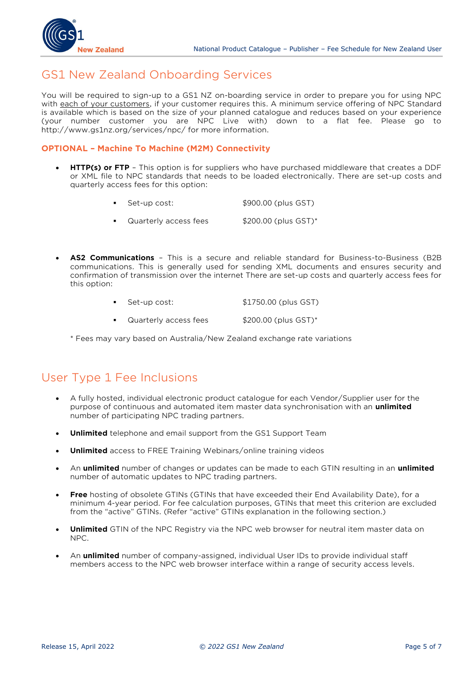

### GS1 New Zealand Onboarding Services

You will be required to sign-up to a GS1 NZ on-boarding service in order to prepare you for using NPC with each of your customers, if your customer requires this. A minimum service offering of NPC Standard is available which is based on the size of your planned catalogue and reduces based on your experience (your number customer you are NPC Live with) down to a flat fee. Please go to http://www.gs1nz.org/services/npc/ for more information.

#### **OPTIONAL – Machine To Machine (M2M) Connectivity**

- **HTTP(s) or FTP** This option is for suppliers who have purchased middleware that creates a DDF or XML file to NPC standards that needs to be loaded electronically. There are set-up costs and quarterly access fees for this option:
	- Set-up cost:  $$900.00$  (plus GST)
	- Quarterly access fees \$200.00 (plus GST)\*
- **AS2 Communications** This is a secure and reliable standard for Business-to-Business (B2B communications. This is generally used for sending XML documents and ensures security and confirmation of transmission over the internet There are set-up costs and quarterly access fees for this option:
	- Set-up cost:  $$1750.00$  (plus GST)
	- Quarterly access fees \$200.00 (plus GST)\*

\* Fees may vary based on Australia/New Zealand exchange rate variations

### User Type 1 Fee Inclusions

- A fully hosted, individual electronic product catalogue for each Vendor/Supplier user for the purpose of continuous and automated item master data synchronisation with an **unlimited** number of participating NPC trading partners.
- **Unlimited** telephone and email support from the GS1 Support Team
- **Unlimited** access to FREE Training Webinars/online training videos
- An **unlimited** number of changes or updates can be made to each GTIN resulting in an **unlimited** number of automatic updates to NPC trading partners.
- **Free** hosting of obsolete GTINs (GTINs that have exceeded their End Availability Date), for a minimum 4-year period. For fee calculation purposes, GTINs that meet this criterion are excluded from the "active" GTINs. (Refer "active" GTINs explanation in the following section.)
- **Unlimited** GTIN of the NPC Registry via the NPC web browser for neutral item master data on NPC.
- An **unlimited** number of company-assigned, individual User IDs to provide individual staff members access to the NPC web browser interface within a range of security access levels.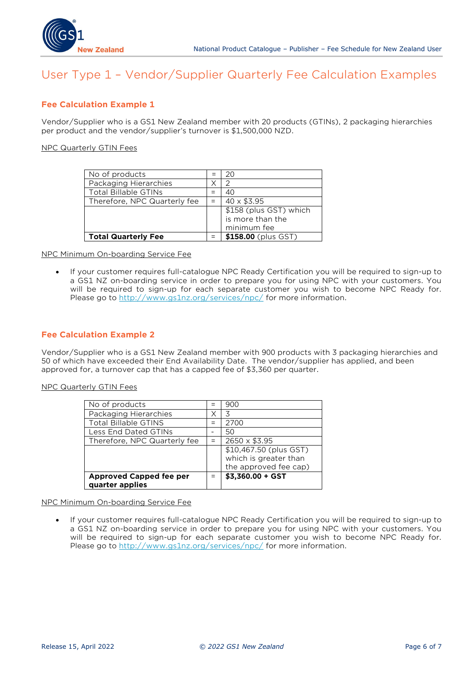

# User Type 1 – Vendor/Supplier Quarterly Fee Calculation Examples

#### **Fee Calculation Example 1**

Vendor/Supplier who is a GS1 New Zealand member with 20 products (GTINs), 2 packaging hierarchies per product and the vendor/supplier's turnover is \$1,500,000 NZD.

NPC Quarterly GTIN Fees

| No of products               |     | 20                     |
|------------------------------|-----|------------------------|
| Packaging Hierarchies        |     |                        |
| <b>Total Billable GTINs</b>  |     | 40                     |
| Therefore, NPC Quarterly fee | $=$ | $40 \times $3.95$      |
|                              |     | \$158 (plus GST) which |
|                              |     | is more than the       |
|                              |     | minimum fee            |
| <b>Total Quarterly Fee</b>   |     | $$158.00$ (plus GST)   |

NPC Minimum On-boarding Service Fee

• If your customer requires full-catalogue NPC Ready Certification you will be required to sign-up to a GS1 NZ on-boarding service in order to prepare you for using NPC with your customers. You will be required to sign-up for each separate customer you wish to become NPC Ready for. Please go to<http://www.gs1nz.org/services/npc/> for more information.

#### **Fee Calculation Example 2**

Vendor/Supplier who is a GS1 New Zealand member with 900 products with 3 packaging hierarchies and 50 of which have exceeded their End Availability Date. The vendor/supplier has applied, and been approved for, a turnover cap that has a capped fee of \$3,360 per quarter.

#### NPC Quarterly GTIN Fees

| No of products                                    | $=$ | 900                                                                      |
|---------------------------------------------------|-----|--------------------------------------------------------------------------|
| Packaging Hierarchies                             | Χ   | 3                                                                        |
| <b>Total Billable GTINS</b>                       | $=$ | 2700                                                                     |
| Less End Dated GTINs                              |     | 50                                                                       |
| Therefore, NPC Quarterly fee                      | $=$ | 2650 x \$3.95                                                            |
|                                                   |     | \$10,467.50 (plus GST)<br>which is greater than<br>the approved fee cap) |
| <b>Approved Capped fee per</b><br>quarter applies |     | $$3,360.00 + GST$                                                        |

#### NPC Minimum On-boarding Service Fee

• If your customer requires full-catalogue NPC Ready Certification you will be required to sign-up to a GS1 NZ on-boarding service in order to prepare you for using NPC with your customers. You will be required to sign-up for each separate customer you wish to become NPC Ready for. Please go to<http://www.gs1nz.org/services/npc/> for more information.